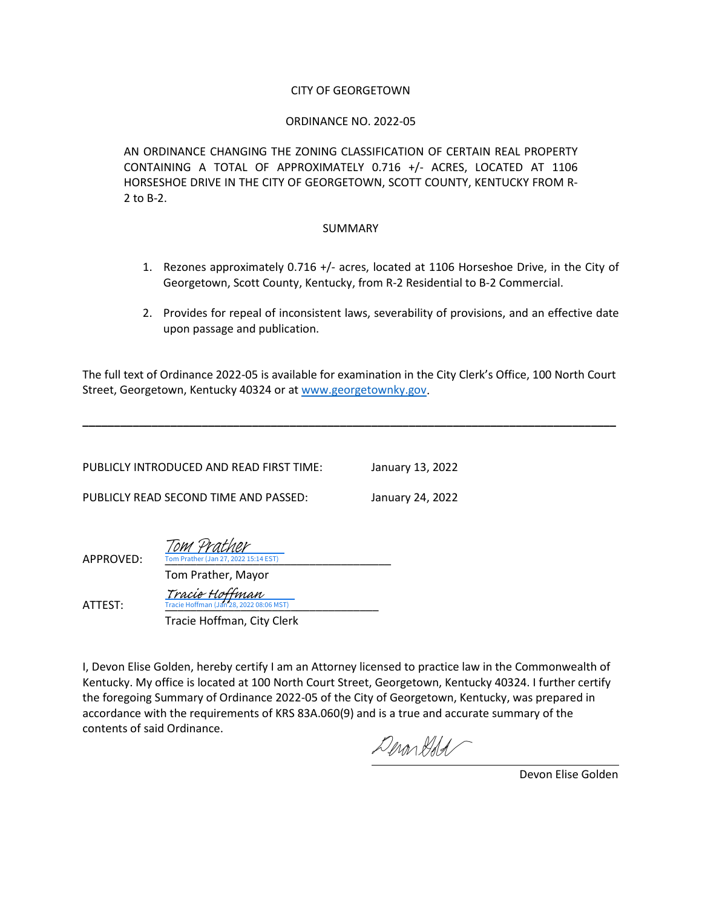#### CITY OF GEORGETOWN

#### ORDINANCE NO. 2022-05

AN ORDINANCE CHANGING THE ZONING CLASSIFICATION OF CERTAIN REAL PROPERTY CONTAINING A TOTAL OF APPROXIMATELY 0.716 +/- ACRES, LOCATED AT 1106 HORSESHOE DRIVE IN THE CITY OF GEORGETOWN, SCOTT COUNTY, KENTUCKY FROM R-2 to B-2.

#### SUMMARY

- 1. Rezones approximately 0.716 +/- acres, located at 1106 Horseshoe Drive, in the City of Georgetown, Scott County, Kentucky, from R-2 Residential to B-2 Commercial.
- 2. Provides for repeal of inconsistent laws, severability of provisions, and an effective date upon passage and publication.

The full text of Ordinance 2022-05 is available for examination in the City Clerk's Office, 100 North Court Street, Georgetown, Kentucky 40324 or at [www.georgetownky.gov.](http://www.georgetownky.gov/)

**\_\_\_\_\_\_\_\_\_\_\_\_\_\_\_\_\_\_\_\_\_\_\_\_\_\_\_\_\_\_\_\_\_\_\_\_\_\_\_\_\_\_\_\_\_\_\_\_\_\_\_\_\_\_\_\_\_\_\_\_\_\_\_\_\_\_\_\_\_\_\_\_\_\_\_\_\_\_\_\_\_\_\_\_\_**

| PUBLICLY INTRODUCED AND READ FIRST TIME: | January 13, 2022 |
|------------------------------------------|------------------|
| PUBLICLY READ SECOND TIME AND PASSED:    | January 24, 2022 |

| APPROVED: | Tom Prather<br>Tom Prather (Jan 27, 2022 15:14 EST)       |  |
|-----------|-----------------------------------------------------------|--|
|           | Tom Prather, Mayor                                        |  |
| ATTEST:   | Tracie Hoffman<br>Tracie Hoffman (Jan 28, 2022 08:06 MST) |  |
|           | Tracie Hoffman, City Clerk                                |  |

I, Devon Elise Golden, hereby certify I am an Attorney licensed to practice law in the Commonwealth of Kentucky. My office is located at 100 North Court Street, Georgetown, Kentucky 40324. I further certify the foregoing Summary of Ordinance 2022-05 of the City of Georgetown, Kentucky, was prepared in accordance with the requirements of KRS 83A.060(9) and is a true and accurate summary of the contents of said Ordinance.

DeronGold

Devon Elise Golden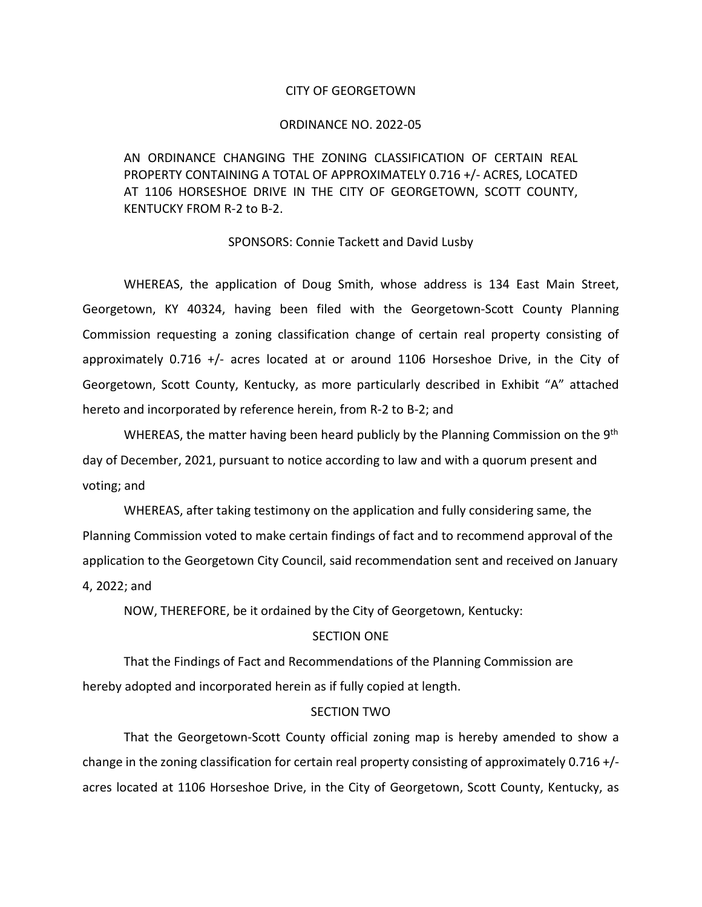#### CITY OF GEORGETOWN

#### ORDINANCE NO. 2022-05

AN ORDINANCE CHANGING THE ZONING CLASSIFICATION OF CERTAIN REAL PROPERTY CONTAINING A TOTAL OF APPROXIMATELY 0.716 +/- ACRES, LOCATED AT 1106 HORSESHOE DRIVE IN THE CITY OF GEORGETOWN, SCOTT COUNTY, KENTUCKY FROM R-2 to B-2.

#### SPONSORS: Connie Tackett and David Lusby

WHEREAS, the application of Doug Smith, whose address is 134 East Main Street, Georgetown, KY 40324, having been filed with the Georgetown-Scott County Planning Commission requesting a zoning classification change of certain real property consisting of approximately 0.716 +/- acres located at or around 1106 Horseshoe Drive, in the City of Georgetown, Scott County, Kentucky, as more particularly described in Exhibit "A" attached hereto and incorporated by reference herein, from R-2 to B-2; and

WHEREAS, the matter having been heard publicly by the Planning Commission on the  $9<sup>th</sup>$ day of December, 2021, pursuant to notice according to law and with a quorum present and voting; and

WHEREAS, after taking testimony on the application and fully considering same, the Planning Commission voted to make certain findings of fact and to recommend approval of the application to the Georgetown City Council, said recommendation sent and received on January 4, 2022; and

NOW, THEREFORE, be it ordained by the City of Georgetown, Kentucky:

#### SECTION ONE

That the Findings of Fact and Recommendations of the Planning Commission are hereby adopted and incorporated herein as if fully copied at length.

#### SECTION TWO

That the Georgetown-Scott County official zoning map is hereby amended to show a change in the zoning classification for certain real property consisting of approximately 0.716 +/ acres located at 1106 Horseshoe Drive, in the City of Georgetown, Scott County, Kentucky, as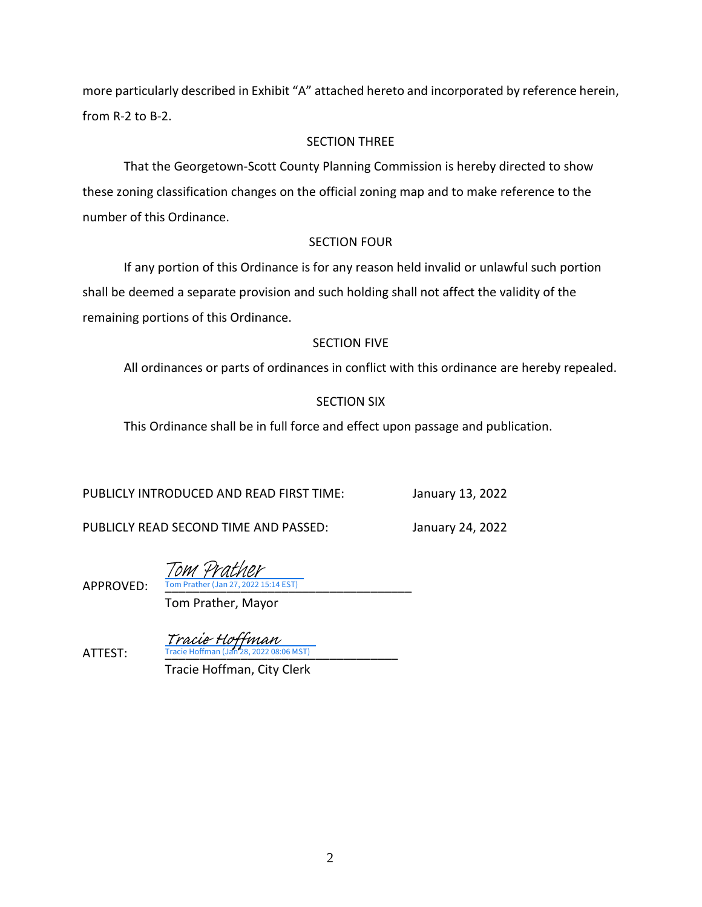more particularly described in Exhibit "A" attached hereto and incorporated by reference herein, from R-2 to B-2.

## SECTION THREE

That the Georgetown-Scott County Planning Commission is hereby directed to show these zoning classification changes on the official zoning map and to make reference to the number of this Ordinance.

## SECTION FOUR

If any portion of this Ordinance is for any reason held invalid or unlawful such portion shall be deemed a separate provision and such holding shall not affect the validity of the remaining portions of this Ordinance.

# SECTION FIVE

All ordinances or parts of ordinances in conflict with this ordinance are hereby repealed.

# SECTION SIX

This Ordinance shall be in full force and effect upon passage and publication.

PUBLICLY INTRODUCED AND READ FIRST TIME: January 13, 2022

PUBLICLY READ SECOND TIME AND PASSED: January 24, 2022

APPROVED: Tom Prather (Jan 27, 2022 15:14 EST) Tom Prather

Tom Prather, Mayor

**ATTEST:** Tracie Hoffman (Jan 28, 2022 08:06 MST) Tracie Hoffman<br>Tracie Hoffman (19028-2022-08:0

Tracie Hoffman, City Clerk